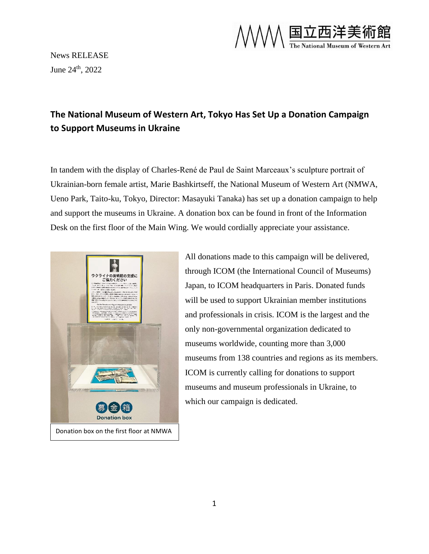

News RELEASE June 24<sup>th</sup>, 2022

## **The National Museum of Western Art, Tokyo Has Set Up a Donation Campaign to Support Museums in Ukraine**

In tandem with the display of Charles-René de Paul de Saint Marceaux's sculpture portrait of Ukrainian-born female artist, Marie Bashkirtseff, the National Museum of Western Art (NMWA, Ueno Park, Taito-ku, Tokyo, Director: Masayuki Tanaka) has set up a donation campaign to help and support the museums in Ukraine. A donation box can be found in front of the Information Desk on the first floor of the Main Wing. We would cordially appreciate your assistance.



All donations made to this campaign will be delivered, through ICOM (the International Council of Museums) Japan, to ICOM headquarters in Paris. Donated funds will be used to support Ukrainian member institutions and professionals in crisis. ICOM is the largest and the only non-governmental organization dedicated to museums worldwide, counting more than 3,000 museums from 138 countries and regions as its members. ICOM is currently calling for donations to support museums and museum professionals in Ukraine, to which our campaign is dedicated.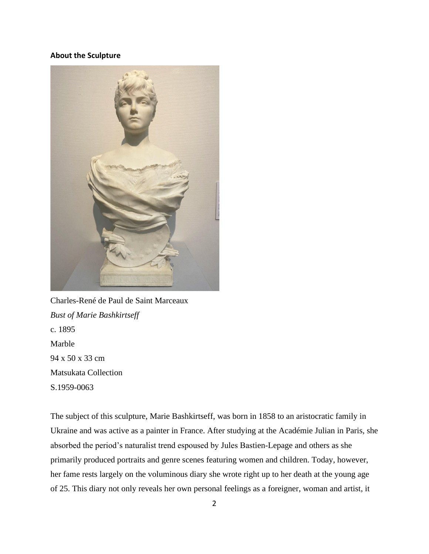## **About the Sculpture**



Charles-René de Paul de Saint Marceaux *Bust of Marie Bashkirtseff* c. 1895 Marble 94 x 50 x 33 cm Matsukata Collection S.1959-0063

The subject of this sculpture, Marie Bashkirtseff, was born in 1858 to an aristocratic family in Ukraine and was active as a painter in France. After studying at the Académie Julian in Paris, she absorbed the period's naturalist trend espoused by Jules Bastien-Lepage and others as she primarily produced portraits and genre scenes featuring women and children. Today, however, her fame rests largely on the voluminous diary she wrote right up to her death at the young age of 25. This diary not only reveals her own personal feelings as a foreigner, woman and artist, it